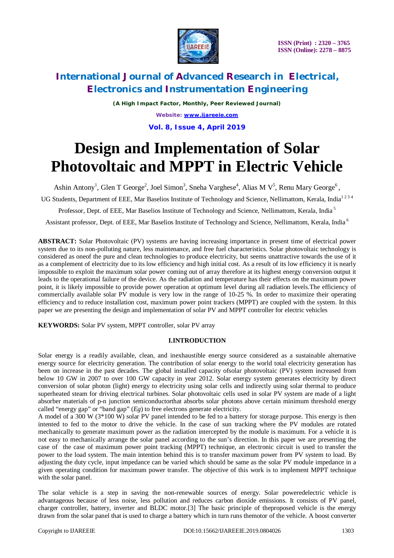

*(A High Impact Factor, Monthly, Peer Reviewed Journal) Website: [www.ijareeie.com](http://www.ijareeie.com)* **Vol. 8, Issue 4, April 2019**

# **Design and Implementation of Solar Photovoltaic and MPPT in Electric Vehicle**

Ashin Antony<sup>1</sup>, Glen T George<sup>2</sup>, Joel Simon<sup>3</sup>, Sneha Varghese<sup>4</sup>, Alias M V<sup>5</sup>, Renu Mary George<sup>6</sup>,

UG Students, Department of EEE, Mar Baselios Institute of Technology and Science, Nellimattom, Kerala, India<sup>1234</sup>

Professor, Dept. of EEE, Mar Baselios Institute of Technology and Science, Nellimattom, Kerala, India<sup>5</sup>

Assistant professor, Dept. of EEE, Mar Baselios Institute of Technology and Science, Nellimattom, Kerala, India<sup>6</sup>

**ABSTRACT:** Solar Photovoltaic (PV) systems are having increasing importance in present time of electrical power system due to its non-polluting nature, less maintenance, and free fuel characteristics. Solar photovoltaic technology is considered as oneof the pure and clean technologies to produce electricity, but seems unattractive towards the use of it as a complement of electricity due to its low efficiency and high initial cost. As a result of its low efficiency it is nearly impossible to exploit the maximum solar power coming out of array therefore at its highest energy conversion output it leads to the operational failure of the device. As the radiation and temperature has their effects on the maximum power point, it is likely impossible to provide power operation at optimum level during all radiation levels.The efficiency of commercially available solar PV module is very low in the range of 10-25 %. In order to maximize their operating efficiency and to reduce installation cost, maximum power point trackers (MPPT) are coupled with the system. In this paper we are presenting the design and implementation of solar PV and MPPT controller for electric vehicles

**KEYWORDS:** Solar PV system, MPPT controller, solar PV array

### **I.INTRODUCTION**

Solar energy is a readily available, clean, and inexhaustible energy source considered as a sustainable alternative energy source for electricity generation. The contribution of solar energy to the world total electricity generation has been on increase in the past decades. The global installed capacity ofsolar photovoltaic (PV) system increased from below 10 GW in 2007 to over 100 GW capacity in year 2012. Solar energy system generates electricity by direct conversion of solar photon (light) energy to electricity using solar cells and indirectly using solar thermal to produce superheated steam for driving electrical turbines. Solar photovoltaic cells used in solar PV system are made of a light absorber materials of p-n junction semiconductorthat absorbs solar photons above certain minimum threshold energy called "energy gap" or "band gap" (*Eg*) to free electrons generate electricity.

A model of a 300 W (3\*100 W) solar PV panel intended to be fed to a battery for storage purpose. This energy is then intented to fed to the motor to drive the vehicle. In the case of sun tracking where the PV modules are rotated mechanically to generate maximum power as the radiation intercepted by the module is maximum. For a vehicle it is not easy to mechanically arrange the solar panel according to the sun's direction. In this paper we are presenting the case of the case of maximum power point tracking (MPPT) technique, an electronic circuit is used to transfer the power to the load system. The main intention behind this is to transfer maximum power from PV system to load. By adjusting the duty cycle, input impedance can be varied which should be same as the solar PV module impedance in a given operating condition for maximum power transfer. The objective of this work is to implement MPPT technique with the solar panel.

The solar vehicle is a step in saving the non-renewable sources of energy. Solar poweredelectric vehicle is advantageous because of less noise, less pollution and reduces carbon dioxide emissions. It consists of PV panel, charger controller, battery, inverter and BLDC motor.[3] The basic principle of theproposed vehicle is the energy drawn from the solar panel that is used to charge a battery which in turn runs themotor of the vehicle. A boost converter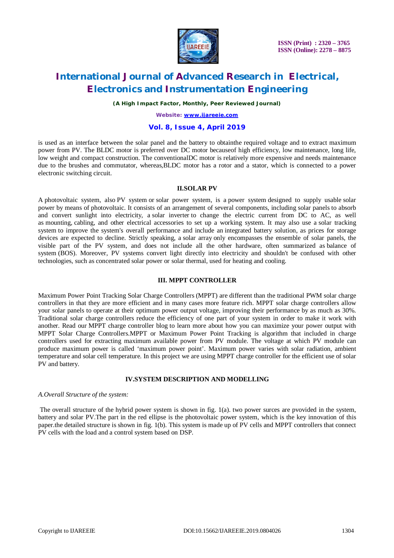

 **ISSN (Print) : 2320 – 3765 ISSN (Online): 2278 – 8875**

# **International Journal of Advanced Research in Electrical, Electronics and Instrumentation Engineering**

*(A High Impact Factor, Monthly, Peer Reviewed Journal)*

*Website: [www.ijareeie.com](http://www.ijareeie.com)*

### **Vol. 8, Issue 4, April 2019**

is used as an interface between the solar panel and the battery to obtainthe required voltage and to extract maximum power from PV. The BLDC motor is preferred over DC motor becauseof high efficiency, low maintenance, long life, low weight and compact construction. The conventionalDC motor is relatively more expensive and needs maintenance due to the brushes and commutator, whereas,BLDC motor has a rotor and a stator, which is connected to a power electronic switching circuit.

#### **II.SOLAR PV**

A photovoltaic system, also PV system or solar power system, is a power system designed to supply usable solar power by means of photovoltaic. It consists of an arrangement of several components, including solar panels to absorb and convert sunlight into electricity, a solar inverter to change the electric current from DC to AC, as well as mounting, cabling, and other electrical accessories to set up a working system. It may also use a solar tracking system to improve the system's overall performance and include an integrated battery solution, as prices for storage devices are expected to decline. Strictly speaking, a solar array only encompasses the ensemble of solar panels, the visible part of the PV system, and does not include all the other hardware, often summarized as balance of system (BOS). Moreover, PV systems convert light directly into electricity and shouldn't be confused with other technologies, such as concentrated solar power or solar thermal, used for heating and cooling.

#### **III. MPPT CONTROLLER**

Maximum Power Point Tracking Solar Charge Controllers (MPPT) are different than the traditional PWM solar charge controllers in that they are more efficient and in many cases more feature rich. MPPT solar charge controllers allow your solar panels to operate at their optimum power output voltage, improving their performance by as much as 30%. Traditional solar charge controllers reduce the efficiency of one part of your system in order to make it work with another. Read our MPPT charge controller blog to learn more about how you can maximize your power output with MPPT Solar Charge Controllers.MPPT or Maximum Power Point Tracking is algorithm that included in charge controllers used for extracting maximum available power from PV module. The voltage at which PV module can produce maximum power is called 'maximum power point'. Maximum power varies with solar radiation, ambient temperature and solar cell temperature. In this project we are using MPPT charge controller for the efficient use of solar PV and battery.

#### **IV.SYSTEM DESCRIPTION AND MODELLING**

### *A.Overall Structure of the system:*

The overall structure of the hybrid power system is shown in fig. 1(a). two power surces are pvovided in the system, battery and solar PV.The part in the red ellipse is the photovoltaic power system, which is the key innovation of this paper.the detailed structure is shown in fig. 1(b). This system is made up of PV cells and MPPT controllers that connect PV cells with the load and a control system based on DSP.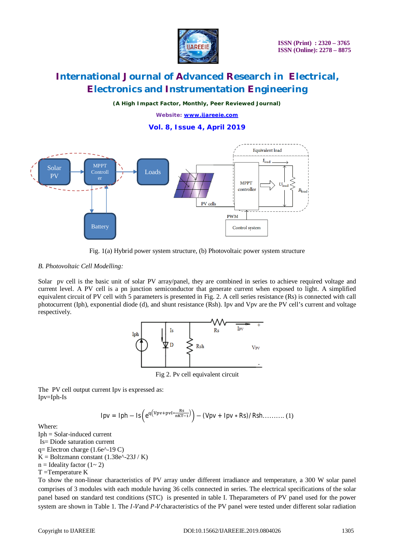

*(A High Impact Factor, Monthly, Peer Reviewed Journal)*

*Website: [www.ijareeie.com](http://www.ijareeie.com)*

**Vol. 8, Issue 4, April 2019**



Fig. 1(a) Hybrid power system structure, (b) Photovoltaic power system structure

### *B. Photovoltaic Cell Modelling:*

Solar pv cell is the basic unit of solar PV array/panel, they are combined in series to achieve required voltage and current level. A PV cell is a pn junction semiconductor that generate current when exposed to light. A simplified equivalent circuit of PV cell with 5 parameters is presented in Fig. 2. A cell series resistance (Rs) is connected with call photocurrent (Iph), exponential diode (d), and shunt resistance (Rsh). Ipv and Vpv are the PV cell's current and voltage respectively.



Fig 2. Pv cell equivalent circuit

The PV cell output current Ipv is expressed as: Ipv=Iph-Is

$$
Ipv = Iph - Is\left(e^{q(Vpv + pvI*\frac{Rs}{nKT-1})}\right) - (Vpv + Ipv * Rs)/Rsh........(1)
$$

Where:

Iph = Solar-induced current Is= Diode saturation current  $q=$  Electron charge (1.6e^-19 C)  $K = Boltzmann constant (1.38e^{\lambda} - 23J / K)$  $n =$ Ideality factor  $(1 \sim 2)$ T =Temperature K

To show the non-linear characteristics of PV array under different irradiance and temperature, a 300 W solar panel comprises of 3 modules with each module having 36 cells connected in series. The electrical specifications of the solar panel based on standard test conditions (STC) is presented in table I. Theparameters of PV panel used for the power system are shown in Table 1. The I-Vand P-V characteristics of the PV panel were tested under different solar radiation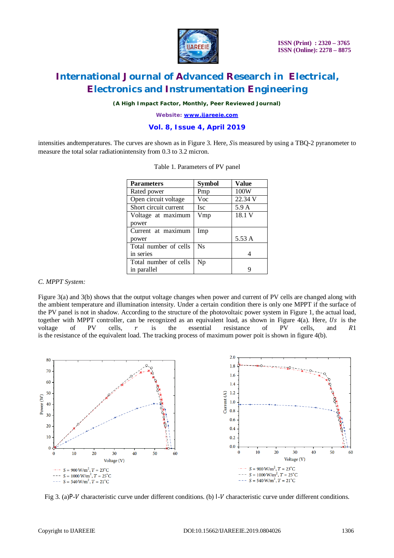

*(A High Impact Factor, Monthly, Peer Reviewed Journal)*

*Website: [www.ijareeie.com](http://www.ijareeie.com)*

### **Vol. 8, Issue 4, April 2019**

intensities and temperatures. The curves are shown as in Figure 3. Here, Sis measured by using a TBQ-2 pyranometer to measure the total solar radiationintensity from 0.3 to 3.2 micron.

| <b>Parameters</b>     | <b>Symbol</b> | <b>Value</b> |
|-----------------------|---------------|--------------|
| Rated power           | Pmp           | 100W         |
| Open circuit voltage  | Voc           | 22.34 V      |
| Short circuit current | <b>Isc</b>    | 5.9 A        |
| Voltage at maximum    | Vmp           | 18.1 V       |
| power                 |               |              |
| Current at maximum    | Imp           |              |
| power                 |               | 5.53 A       |
| Total number of cells | <b>Ns</b>     |              |
| in series             |               | 4            |
| Total number of cells | Np            |              |
| in parallel           |               | 9            |
|                       |               |              |

|  | Table 1. Parameters of PV panel |  |  |
|--|---------------------------------|--|--|
|--|---------------------------------|--|--|

### *C. MPPT System:*

Figure 3(a) and 3(b) shows that the output voltage changes when power and current of PV cells are changed along with the ambient temperature and illumination intensity. Under a certain condition there is only one MPPT if the surface of the PV panel is not in shadow. According to the structure of the photovoltaic power system in Figure 1, the actual load, together with MPPT controller, can be recognized as an equivalent load, as shown in Figure  $4(a)$ . Here, Us is the voltage of PV cells,  $r$  is the essential resistance of PV cells, and  $R1$ is the resistance of the equivalent load. The tracking process of maximum power poit is shown in figure 4(b).



Fig 3. (a)P- $V$  characteristic curve under different conditions. (b)  $V$  characteristic curve under different conditions.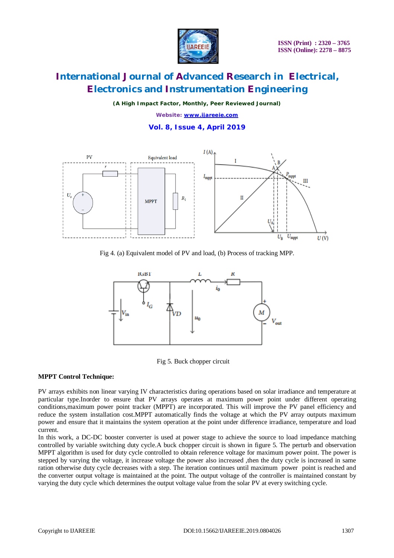

*(A High Impact Factor, Monthly, Peer Reviewed Journal) Website: [www.ijareeie.com](http://www.ijareeie.com)*

**Vol. 8, Issue 4, April 2019**



Fig 4. (a) Equivalent model of PV and load, (b) Process of tracking MPP.



Fig 5. Buck chopper circuit

### **MPPT Control Technique:**

PV arrays exhibits non linear varying IV characteristics during operations based on solar irradiance and temperature at particular type.Inorder to ensure that PV arrays operates at maximum power point under different operating conditions,maximum power point tracker (MPPT) are incorporated. This will improve the PV panel efficiency and reduce the system installation cost.MPPT automatically finds the voltage at which the PV array outputs maximum power and ensure that it maintains the system operation at the point under difference irradiance, temperature and load current.

In this work, a DC-DC booster converter is used at power stage to achieve the source to load impedance matching controlled by variable switching duty cycle.A buck chopper circuit is shown in figure 5. The perturb and observation MPPT algorithm is used for duty cycle controlled to obtain reference voltage for maximum power point. The power is stepped by varying the voltage, it increase voltage the power also increased ,then the duty cycle is increased in same ration otherwise duty cycle decreases with a step. The iteration continues until maximum power point is reached and the converter output voltage is maintained at the point. The output voltage of the controller is maintained constant by varying the duty cycle which determines the output voltage value from the solar PV at every switching cycle.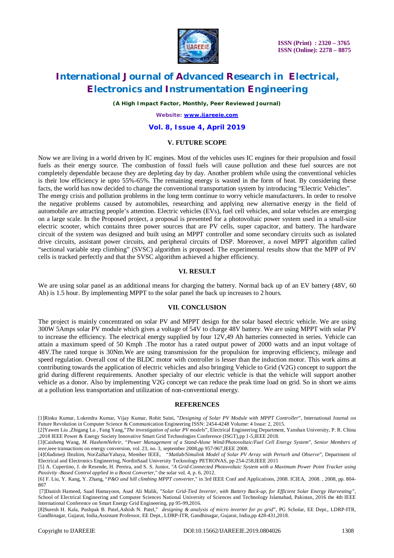

*(A High Impact Factor, Monthly, Peer Reviewed Journal)*

*Website: [www.ijareeie.com](http://www.ijareeie.com)*

#### **Vol. 8, Issue 4, April 2019**

### **V. FUTURE SCOPE**

Now we are living in a world driven by IC engines. Most of the vehicles uses IC engines for their propulsion and fossil fuels as their energy source. The combustion of fossil fuels will cause pollution and these fuel sources are not completely dependable because they are depleting day by day. Another problem while using the conventional vehicles is their low efficiency ie upto 55%-65%. The remaining energy is wasted in the form of heat. By considering these facts, the world has now decided to change the conventional transportation system by introducing "Electric Vehicles". The energy crisis and pollution problems in the long term continue to worry vehicle manufacturers. In order to resolve the negative problems caused by automobiles, researching and applying new alternative energy in the field of automobile are attracting people's attention. Electric vehicles (EVs), fuel cell vehicles, and solar vehicles are emerging on a large scale. In the Proposed project, a proposal is presented for a photovoltaic power system used in a small-size electric scooter, which contains three power sources that are PV cells, super capacitor, and battery. The hardware circuit of the system was designed and built using an MPPT controller and some secondary circuits such as isolated drive circuits, assistant power circuits, and peripheral circuits of DSP. Moreover, a novel MPPT algorithm called "sectional variable step climbing" (SVSC) algorithm is proposed. The experimental results show that the MPP of PV

#### **VI. RESULT**

cells is tracked perfectly and that the SVSC algorithm achieved a higher efficiency.

We are using solar panel as an additional means for charging the battery. Normal back up of an EV battery (48V, 60) Ah) is 1.5 hour. By implementing MPPT to the solar panel the back up increases to 2 hours.

#### **VII. CONCLUSION**

The project is mainly concentrated on solar PV and MPPT design for the solar based electric vehicle. We are using 300W 5Amps solar PV module which gives a voltage of 54V to charge 48V battery. We are using MPPT with solar PV to increase the efficiency. The electrical energy supplied by four 12V,49 Ah batteries connected in series. Vehicle can attain a maximum speed of 50 Kmph .The motor has a rated output power of 2000 watts and an input voltage of 48V.The rated torque is 30Nm.We are using transmission for the propulsion for improving efficiency, mileage and speed regulation. Overall cost of the BLDC motor with controller is lesser than the induction motor. This work aims at contributing towards the application of electric vehicles and also bringing Vehicle to Grid (V2G) concept to support the grid during different requirements. Another specialty of our electric vehicle is that the vehicle will support another vehicle as a donor. Also by implementing V2G concept we can reduce the peak time load on grid. So in short we aims at a pollution less transportation and utilization of non-conventional energy.

#### **REFERENCES**

[2]Yawen Liu ,Zhigang Lu , Fang Yang,"*The investigation of solar PV models*", Electrical Engineering Department, Yanshan University, P. R. China ,2018 IEEE Power & Energy Society Innovative Smart Grid Technologies Conference (ISGT),pp 1-5,IEEE 2018.

[3]Caisheng Wang*, M. HashemNehrir, "Power Management of a Stand-Alone Wind/Photovoltaic/Fuel Cell Energy System*", *Senior Members of ieee,*ieee transactions on energy conversion, vol. 23, no. 3, september 2008,pp 957-967,IEEE 2008.

<sup>[1]</sup>Rinku Kumar, Lokendra Kumar, Vijay Kumar, Rohit Saini, "*Designing of Solar PV Module with MPPT Controller*", International Journal on Future Revolution in Computer Science & Communication Engineering ISSN: 2454-4248 Volume: 4 Issue: 2, 2015.

<sup>[4]</sup>Oladimeji Ibrahim, NorZaiharYahaya*,* Member IEEE,"*Matlab/Simulink Model of Solar PV Array with Perturb and Observe*", Department of Electrical and Electronics Engineering, NordinSaad University Tecknology PETRONAS, pp 254-258,IEEE 2015

<sup>[5]</sup> A. Cupertino, J. de Resende, H. Pereira, and S. S. Junior, "*A Grid-Connected Photovoltaic System with a Maximum Power Point Tracker using Passivity -Based Control applied in a Boost Converter*," the solar vol. 4, p. 6, 2012.

<sup>[6]</sup> F. Liu, Y. Kang, Y. Zhang, "*P&O and hill climbing MPPT converter*," in 3rd IEEE Conf and Applications, 2008. ICIEA, 2008. , 2008, pp. 804- 807

<sup>[7]</sup>Danish Hameed, Saad Hamayoon, Asad Ali Malik, "*Solar Grid-Tied Inverter, with Battery Back-up, for Efficient Solar Energy Harvesting",*  School of Electrical Engineering and Computer Sciences National University of Sciences and Technology Islamabad, Pakistan, 2016 the 4th IEEE International Conference on Smart Energy Grid Engineering, pp 95-99,2016.

<sup>[8]</sup>Suresh H. Kala, Pushpak B. Patel,Ashish N. Patel," *designing & analysis of micro inverter for pv grid*", PG Scholar, EE Dept., LDRP-ITR, Gandhinagar, Gujarat, India,Assistant Professor, EE Dept., LDRP-ITR, Gandhinagar, Gujarat, India,pp 428-431,2018.